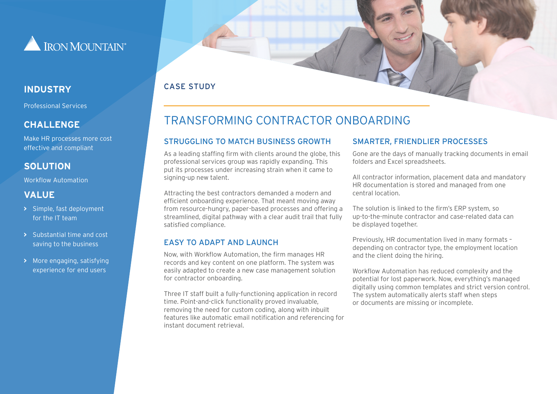

Professional Services

#### **CHALLENGE**

Make HR processes more cost effective and compliant

## **SOLUTION**

Workflow Automation

#### **VALUE**

- **>** Simple, fast deployment for the IT team
- **>** Substantial time and cost saving to the business
- **>** More engaging, satisfying experience for end users

### CASE STUDY **INDUSTRY**

# TRANSFORMING CONTRACTOR ONBOARDING

#### STRUGGLING TO MATCH BUSINESS GROWTH

As a leading staffing firm with clients around the globe, this professional services group was rapidly expanding. This put its processes under increasing strain when it came to signing-up new talent.

Attracting the best contractors demanded a modern and efficient onboarding experience. That meant moving away from resource-hungry, paper-based processes and offering a streamlined, digital pathway with a clear audit trail that fully satisfied compliance.

#### EASY TO ADAPT AND LAUNCH

Now, with Workflow Automation, the firm manages HR records and key content on one platform. The system was easily adapted to create a new case management solution for contractor onboarding.

Three IT staff built a fully-functioning application in record time. Point-and-click functionality proved invaluable, removing the need for custom coding, along with inbuilt features like automatic email notification and referencing for instant document retrieval.

#### SMARTER, FRIENDLIER PROCESSES

Gone are the days of manually tracking documents in email folders and Excel spreadsheets.

All contractor information, placement data and mandatory HR documentation is stored and managed from one central location.

The solution is linked to the firm's ERP system, so up-to-the-minute contractor and case-related data can be displayed together.

Previously, HR documentation lived in many formats – depending on contractor type, the employment location and the client doing the hiring.

Workflow Automation has reduced complexity and the potential for lost paperwork. Now, everything's managed digitally using common templates and strict version control. The system automatically alerts staff when steps or documents are missing or incomplete.